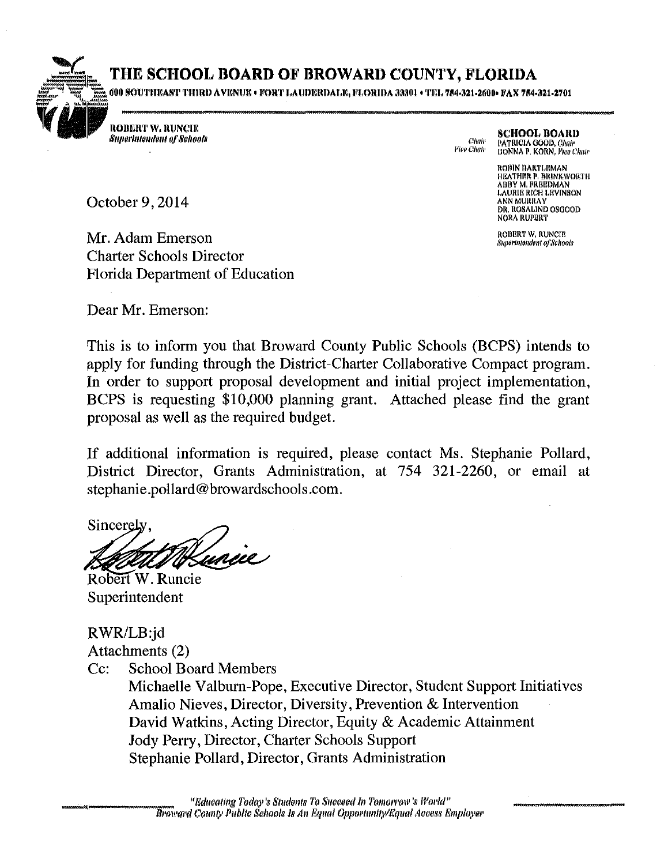## THE SCHOOL BOARD OF BROWARD COUNTY, FLORIDA

600 SOUTHEAST THIRD AVENUE • FORT LAUDERDALE, FLORIDA 33301 • TEL 754-321-2600• FAX 754-321-2701

**ROBERT W. RUNCIE Superintendent of Schools** 

**SCHOOL BOARD** Chair PATRICIA GOOD, Chair Vice Chair DONNA P. KORN, Pige Chair

> **ROBIN BARTLEMAN** HEATHER P. BRINKWORTH **ABBY M. FREEDMAN** ABB T M, FRBERMAN<br>LAURIE RICH LEVINSON<br>ANN MURRAY<br>DR, ROSALIND OSGOOD<br>NORA RUPERT

ROBERT W. RUNCIE Superintendent of Schools

October 9, 2014

Mr. Adam Emerson **Charter Schools Director** Florida Department of Education

Dear Mr. Emerson:

This is to inform you that Broward County Public Schools (BCPS) intends to apply for funding through the District-Charter Collaborative Compact program. In order to support proposal development and initial project implementation, BCPS is requesting \$10,000 planning grant. Attached please find the grant proposal as well as the required budget.

If additional information is required, please contact Ms. Stephanie Pollard, District Director, Grants Administration, at 754 321-2260, or email at stephanie.pollard@browardschools.com.

Sincerely

Robert W. Runcie Superintendent

RWR/LB:jd Attachments (2)

 $Cc$ : **School Board Members** 

> Michaelle Valburn-Pope, Executive Director, Student Support Initiatives Amalio Nieves, Director, Diversity, Prevention & Intervention David Watkins, Acting Director, Equity & Academic Attainment Jody Perry, Director, Charter Schools Support Stephanie Pollard, Director, Grants Administration

"Educating Today's Students To Succeed In Tomorrow's World" Broward County Public Schools Is An Equal Opportunity/Equal Access Employer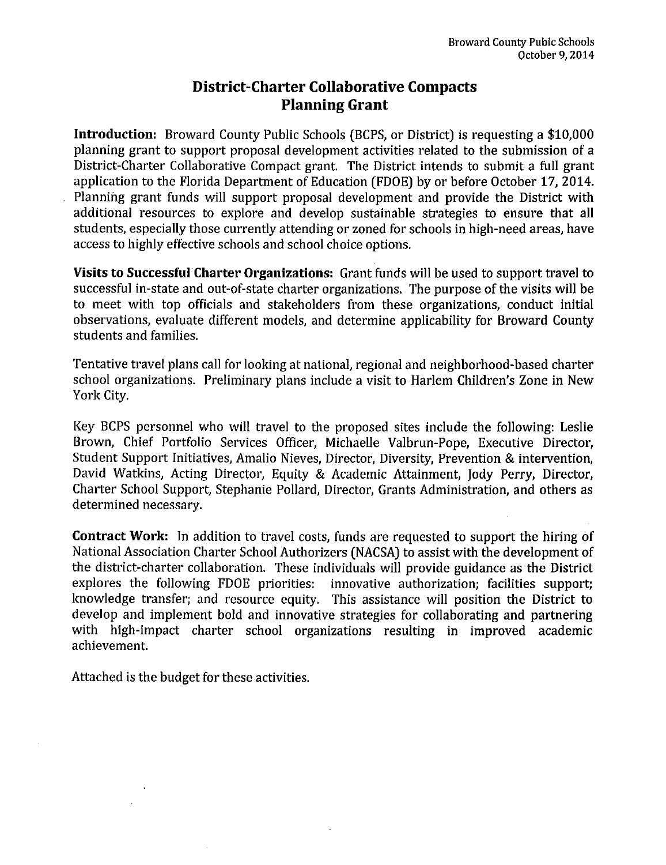### **District-Charter Collaborative Compacts Planning Grant**

**Introduction:** Broward County Public Schools (BCPS, or District) is requesting a \$10,000 planning grant to support proposal development activities related to the submission of a District-Charter Collaborative Compact grant. The District intends to submit a full grant application to the Florida Department of Education (FDOE) by or before October 17, 2014. Planning grant funds will support proposal development and provide the District with additional resources to explore and develop sustainable strategies to ensure that all students, especially those currently attending or zoned for schools in high-need areas, have access to highly effective schools and school choice options.

**Visits to Successful Charter Organizations:** Grant funds will be used to support travel to successful in-state and out-of-state charter organizations. The purpose of the visits will be to meet with top officials and stakeholders from these organizations, conduct initial observations, evaluate different models, and determine applicability for Broward County students and families.

Tentative travel plans call for looking at national, regional and neighborhood-based charter school organizations. Preliminary plans include a visit to Harlem Children's Zone in New York City.

Key BCPS personnel who will travel to the proposed sites include the following: Leslie Brown, Chief Portfolio Services Officer, Michaelle Valbrun-Pope, Executive Director, Student Support Initiatives, Amalio Nieves, Director, Diversity, Prevention & intervention, David Watkins, Acting Director, Equity & Academic Attainment, Jody Perry, Director, Charter School Support, Stephanie Pollard, Director, Grants Administration, and others as determined necessary.

**Contract Work:** In addition to travel costs, funds are requested to support the hiring of National Association Charter School Authorizers (NACSA) to assist with the development of the district-charter collaboration. These individuals will provide guidance as the District explores the following FDOE priorities: innovative authorization; facilities support; knowledge transfer; and resource equity. This assistance will position the District to develop and implement bold and innovative strategies for collaborating and partnering with high-impact charter school organizations resulting in improved academic achievement.

Attached is the budget for these activities.